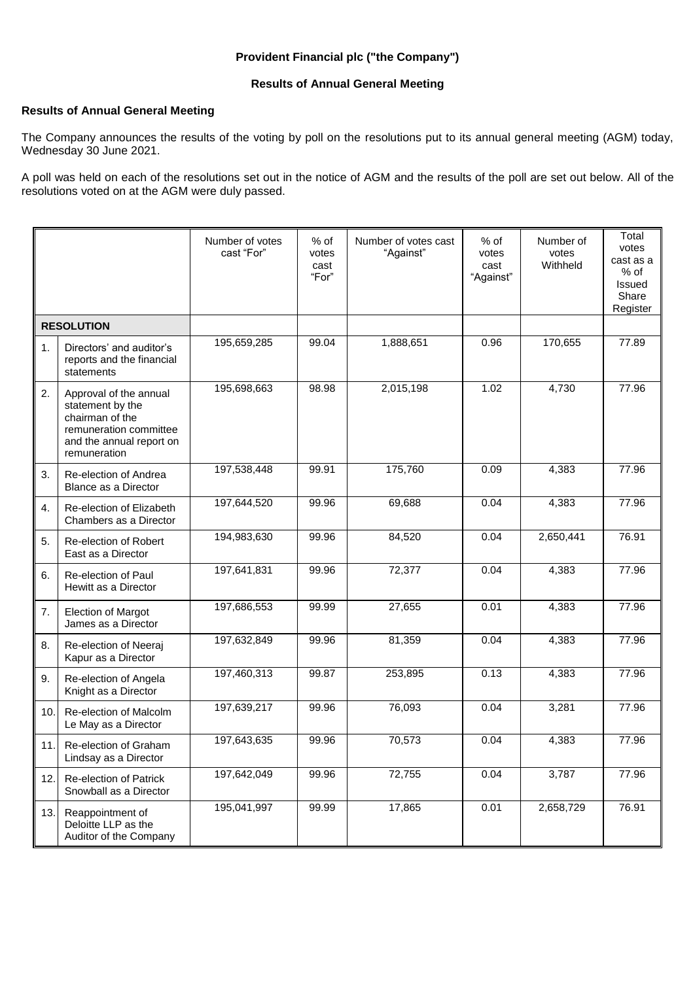## **Provident Financial plc ("the Company")**

## **Results of Annual General Meeting**

## **Results of Annual General Meeting**

The Company announces the results of the voting by poll on the resolutions put to its annual general meeting (AGM) today, Wednesday 30 June 2021.

A poll was held on each of the resolutions set out in the notice of AGM and the results of the poll are set out below. All of the resolutions voted on at the AGM were duly passed.

|                   |                                                                                                                                     | Number of votes<br>cast "For" | % of<br>votes<br>cast<br>"For" | Number of votes cast<br>"Against" | $%$ of<br>votes<br>cast<br>"Against" | Number of<br>votes<br>Withheld | Total<br>votes<br>cast as a<br>% of<br>Issued<br>Share<br>Register |
|-------------------|-------------------------------------------------------------------------------------------------------------------------------------|-------------------------------|--------------------------------|-----------------------------------|--------------------------------------|--------------------------------|--------------------------------------------------------------------|
| <b>RESOLUTION</b> |                                                                                                                                     |                               |                                |                                   |                                      |                                |                                                                    |
| 1.                | Directors' and auditor's<br>reports and the financial<br>statements                                                                 | 195,659,285                   | 99.04                          | 1,888,651                         | 0.96                                 | 170,655                        | 77.89                                                              |
| 2.                | Approval of the annual<br>statement by the<br>chairman of the<br>remuneration committee<br>and the annual report on<br>remuneration | 195,698,663                   | 98.98                          | 2,015,198                         | 1.02                                 | 4,730                          | 77.96                                                              |
| 3.                | Re-election of Andrea<br>Blance as a Director                                                                                       | 197,538,448                   | 99.91                          | 175,760                           | 0.09                                 | 4,383                          | 77.96                                                              |
| 4.                | Re-election of Elizabeth<br>Chambers as a Director                                                                                  | 197,644,520                   | 99.96                          | 69,688                            | 0.04                                 | 4,383                          | 77.96                                                              |
| 5.                | Re-election of Robert<br>East as a Director                                                                                         | 194,983,630                   | 99.96                          | 84,520                            | 0.04                                 | 2,650,441                      | 76.91                                                              |
| 6.                | Re-election of Paul<br>Hewitt as a Director                                                                                         | 197,641,831                   | 99.96                          | 72,377                            | 0.04                                 | 4,383                          | 77.96                                                              |
| 7.                | <b>Election of Margot</b><br>James as a Director                                                                                    | 197,686,553                   | 99.99                          | 27,655                            | 0.01                                 | 4,383                          | 77.96                                                              |
| 8.                | Re-election of Neeraj<br>Kapur as a Director                                                                                        | 197,632,849                   | 99.96                          | 81,359                            | 0.04                                 | 4,383                          | 77.96                                                              |
| 9.                | Re-election of Angela<br>Knight as a Director                                                                                       | 197,460,313                   | 99.87                          | 253,895                           | 0.13                                 | 4,383                          | 77.96                                                              |
| 10.               | Re-election of Malcolm<br>Le May as a Director                                                                                      | 197,639,217                   | 99.96                          | 76,093                            | 0.04                                 | 3,281                          | 77.96                                                              |
| 11.               | Re-election of Graham<br>Lindsay as a Director                                                                                      | 197,643,635                   | 99.96                          | 70,573                            | 0.04                                 | 4,383                          | 77.96                                                              |
| 12.               | <b>Re-election of Patrick</b><br>Snowball as a Director                                                                             | 197,642,049                   | 99.96                          | 72,755                            | 0.04                                 | 3,787                          | 77.96                                                              |
| 13.               | Reappointment of<br>Deloitte LLP as the<br>Auditor of the Company                                                                   | 195,041,997                   | 99.99                          | 17,865                            | 0.01                                 | 2,658,729                      | 76.91                                                              |